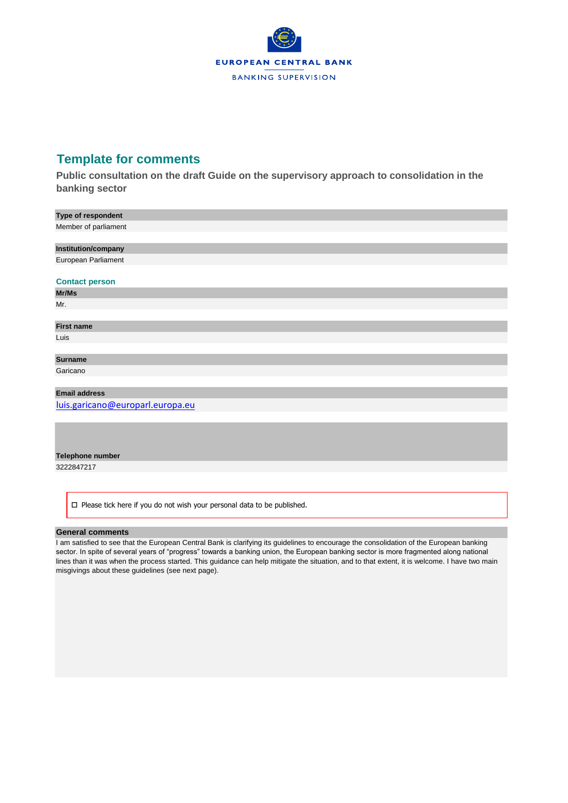

# **Template for comments**

**Public consultation on the draft Guide on the supervisory approach to consolidation in the banking sector**

| Type of respondent    |
|-----------------------|
| Member of parliament  |
|                       |
| Institution/company   |
| European Parliament   |
|                       |
| <b>Contact person</b> |
| Mr/Ms                 |
| Mr.                   |
|                       |
| <b>First name</b>     |
| Luis                  |
|                       |
| <b>Surname</b>        |
|                       |

Garicano

# **Email address**

[luis.garicano@europarl.europa.eu](mailto:luis.garicano@europarl.europa.eu)

## **Telephone number**

3222847217

 $\square$  Please tick here if you do not wish your personal data to be published.

## **General comments**

I am satisfied to see that the European Central Bank is clarifying its guidelines to encourage the consolidation of the European banking sector. In spite of several years of "progress" towards a banking union, the European banking sector is more fragmented along national lines than it was when the process started. This guidance can help mitigate the situation, and to that extent, it is welcome. I have two main misgivings about these guidelines (see next page).